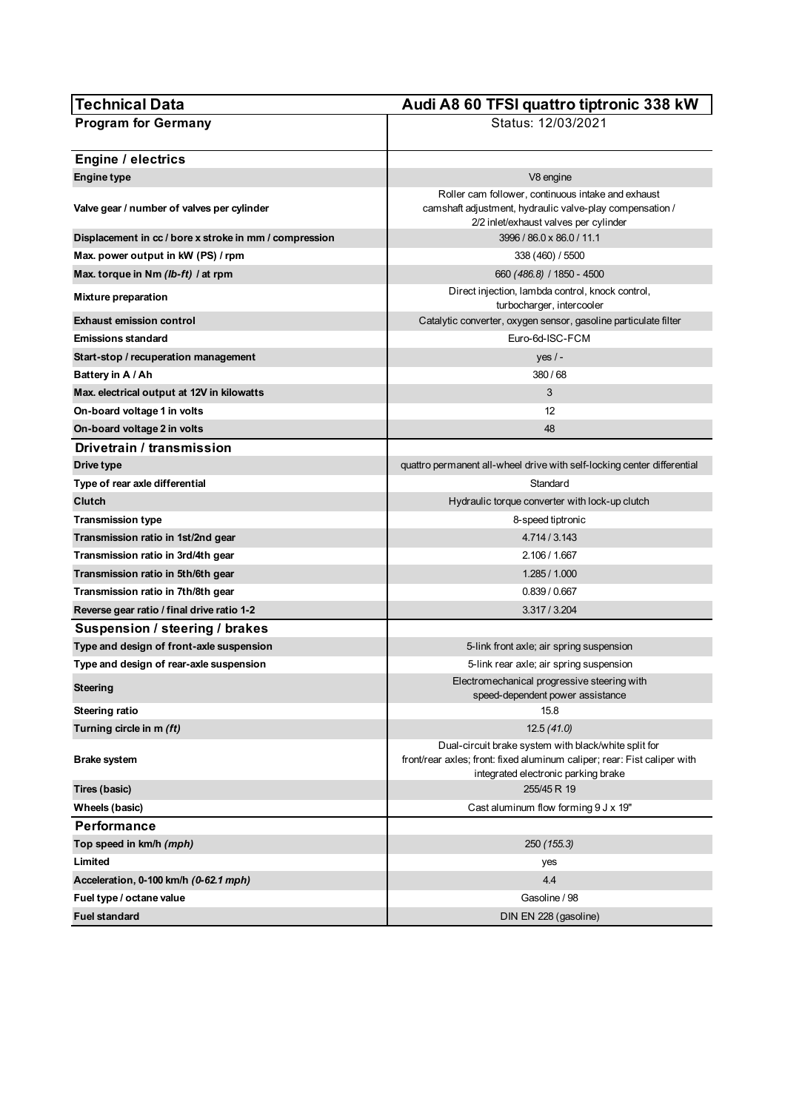| Technical Data                                         | Audi A8 60 TFSI quattro tiptronic 338 kW                                                                                                                                |
|--------------------------------------------------------|-------------------------------------------------------------------------------------------------------------------------------------------------------------------------|
| <b>Program for Germany</b>                             | Status: 12/03/2021                                                                                                                                                      |
| <b>Engine / electrics</b>                              |                                                                                                                                                                         |
| <b>Engine type</b>                                     | V8 engine                                                                                                                                                               |
|                                                        | Roller cam follower, continuous intake and exhaust                                                                                                                      |
| Valve gear / number of valves per cylinder             | camshaft adjustment, hydraulic valve-play compensation /<br>2/2 inlet/exhaust valves per cylinder                                                                       |
| Displacement in cc / bore x stroke in mm / compression | 3996 / 86.0 x 86.0 / 11.1                                                                                                                                               |
| Max. power output in kW (PS) / rpm                     | 338 (460) / 5500                                                                                                                                                        |
| Max. torque in Nm (lb-ft) / at rpm                     | 660 (486.8) / 1850 - 4500                                                                                                                                               |
| Mixture preparation                                    | Direct injection, lambda control, knock control,<br>turbocharger, intercooler                                                                                           |
| <b>Exhaust emission control</b>                        | Catalytic converter, oxygen sensor, gasoline particulate filter                                                                                                         |
| <b>Emissions standard</b>                              | Euro-6d-ISC-FCM                                                                                                                                                         |
| Start-stop / recuperation management                   | yes $/$ -                                                                                                                                                               |
| Battery in A / Ah                                      | 380/68                                                                                                                                                                  |
| Max. electrical output at 12V in kilowatts             | 3                                                                                                                                                                       |
| On-board voltage 1 in volts                            | 12                                                                                                                                                                      |
| On-board voltage 2 in volts                            | 48                                                                                                                                                                      |
| Drivetrain / transmission                              |                                                                                                                                                                         |
| Drive type                                             | quattro permanent all-wheel drive with self-locking center differential                                                                                                 |
| Type of rear axle differential                         | Standard                                                                                                                                                                |
| Clutch                                                 | Hydraulic torque converter with lock-up clutch                                                                                                                          |
| Transmission type                                      | 8-speed tiptronic                                                                                                                                                       |
| Transmission ratio in 1st/2nd gear                     | 4.714 / 3.143                                                                                                                                                           |
| Transmission ratio in 3rd/4th gear                     | 2.106 / 1.667                                                                                                                                                           |
| Transmission ratio in 5th/6th gear                     | 1.285/1.000                                                                                                                                                             |
| Transmission ratio in 7th/8th gear                     | 0.839 / 0.667                                                                                                                                                           |
| Reverse gear ratio / final drive ratio 1-2             | 3.317 / 3.204                                                                                                                                                           |
| Suspension / steering / brakes                         |                                                                                                                                                                         |
| Type and design of front-axle suspension               | 5-link front axle; air spring suspension                                                                                                                                |
| Type and design of rear-axle suspension                | 5-link rear axle; air spring suspension                                                                                                                                 |
| <b>Steering</b>                                        | Electromechanical progressive steering with<br>speed-dependent power assistance                                                                                         |
| Steering ratio                                         | 15.8                                                                                                                                                                    |
| Turning circle in m (ft)                               | 12.5(41.0)                                                                                                                                                              |
| <b>Brake system</b>                                    | Dual-circuit brake system with black/white split for<br>front/rear axles; front: fixed aluminum caliper; rear: Fist caliper with<br>integrated electronic parking brake |
| Tires (basic)                                          | 255/45 R 19                                                                                                                                                             |
| Wheels (basic)                                         | Cast aluminum flow forming 9 J x 19"                                                                                                                                    |
| Performance                                            |                                                                                                                                                                         |
| Top speed in km/h (mph)                                | 250 (155.3)                                                                                                                                                             |
| Limited                                                | yes                                                                                                                                                                     |
| Acceleration, 0-100 km/h (0-62.1 mph)                  | 4.4                                                                                                                                                                     |
| Fuel type / octane value                               | Gasoline / 98                                                                                                                                                           |
| <b>Fuel standard</b>                                   | DIN EN 228 (gasoline)                                                                                                                                                   |